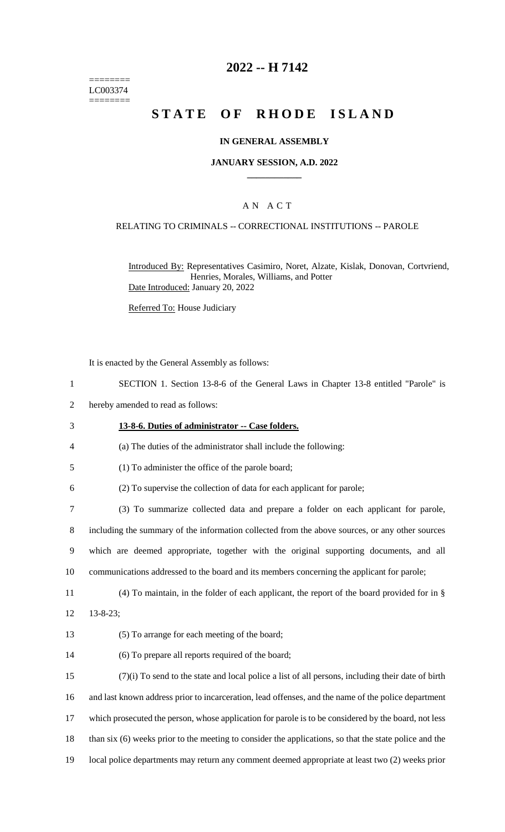======== LC003374 ========

# **2022 -- H 7142**

# **STATE OF RHODE ISLAND**

### **IN GENERAL ASSEMBLY**

### **JANUARY SESSION, A.D. 2022 \_\_\_\_\_\_\_\_\_\_\_\_**

# A N A C T

### RELATING TO CRIMINALS -- CORRECTIONAL INSTITUTIONS -- PAROLE

Introduced By: Representatives Casimiro, Noret, Alzate, Kislak, Donovan, Cortvriend, Henries, Morales, Williams, and Potter Date Introduced: January 20, 2022

Referred To: House Judiciary

It is enacted by the General Assembly as follows:

- 1 SECTION 1. Section 13-8-6 of the General Laws in Chapter 13-8 entitled "Parole" is
- 2 hereby amended to read as follows:

## 3 **13-8-6. Duties of administrator -- Case folders.**

- 4 (a) The duties of the administrator shall include the following:
- 5 (1) To administer the office of the parole board;
- 6 (2) To supervise the collection of data for each applicant for parole;
- 7 (3) To summarize collected data and prepare a folder on each applicant for parole,
- 8 including the summary of the information collected from the above sources, or any other sources

9 which are deemed appropriate, together with the original supporting documents, and all

- 10 communications addressed to the board and its members concerning the applicant for parole;
- 11 (4) To maintain, in the folder of each applicant, the report of the board provided for in § 12 13-8-23;
- 
- 13 (5) To arrange for each meeting of the board;
- 14 (6) To prepare all reports required of the board;

 (7)(i) To send to the state and local police a list of all persons, including their date of birth and last known address prior to incarceration, lead offenses, and the name of the police department which prosecuted the person, whose application for parole is to be considered by the board, not less 18 than six (6) weeks prior to the meeting to consider the applications, so that the state police and the local police departments may return any comment deemed appropriate at least two (2) weeks prior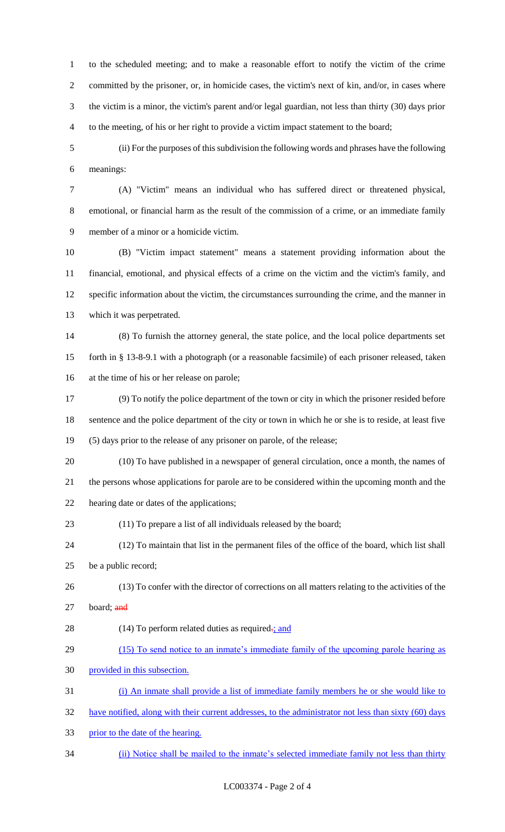to the scheduled meeting; and to make a reasonable effort to notify the victim of the crime committed by the prisoner, or, in homicide cases, the victim's next of kin, and/or, in cases where the victim is a minor, the victim's parent and/or legal guardian, not less than thirty (30) days prior to the meeting, of his or her right to provide a victim impact statement to the board;

 (ii) For the purposes of this subdivision the following words and phrases have the following meanings:

 (A) "Victim" means an individual who has suffered direct or threatened physical, emotional, or financial harm as the result of the commission of a crime, or an immediate family member of a minor or a homicide victim.

 (B) "Victim impact statement" means a statement providing information about the financial, emotional, and physical effects of a crime on the victim and the victim's family, and specific information about the victim, the circumstances surrounding the crime, and the manner in which it was perpetrated.

 (8) To furnish the attorney general, the state police, and the local police departments set forth in § 13-8-9.1 with a photograph (or a reasonable facsimile) of each prisoner released, taken at the time of his or her release on parole;

 (9) To notify the police department of the town or city in which the prisoner resided before sentence and the police department of the city or town in which he or she is to reside, at least five (5) days prior to the release of any prisoner on parole, of the release;

 (10) To have published in a newspaper of general circulation, once a month, the names of the persons whose applications for parole are to be considered within the upcoming month and the hearing date or dates of the applications;

- (11) To prepare a list of all individuals released by the board;
- (12) To maintain that list in the permanent files of the office of the board, which list shall be a public record;
- (13) To confer with the director of corrections on all matters relating to the activities of the 27 board; and
- 28 (14) To perform related duties as required.; and
- 29 (15) To send notice to an inmate's immediate family of the upcoming parole hearing as
- provided in this subsection.
- (i) An inmate shall provide a list of immediate family members he or she would like to
- have notified, along with their current addresses, to the administrator not less than sixty (60) days
- prior to the date of the hearing.
- (ii) Notice shall be mailed to the inmate's selected immediate family not less than thirty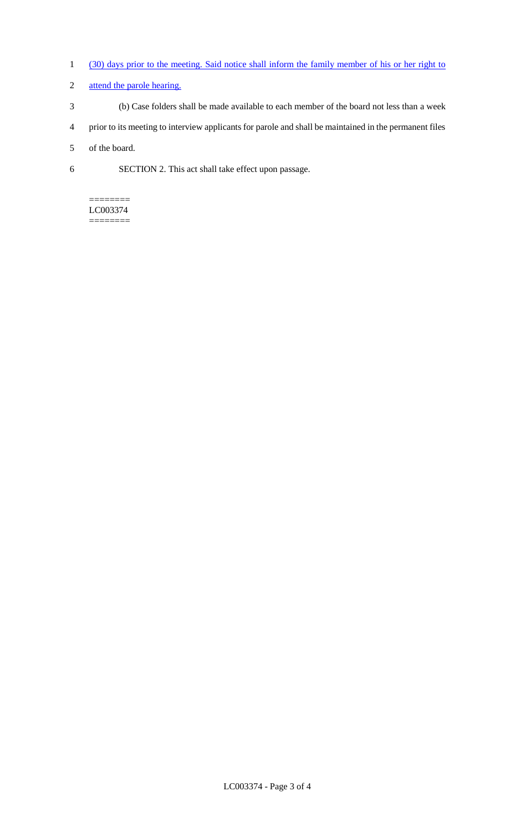- 1 (30) days prior to the meeting. Said notice shall inform the family member of his or her right to
- 2 attend the parole hearing.
- 3 (b) Case folders shall be made available to each member of the board not less than a week
- 4 prior to its meeting to interview applicants for parole and shall be maintained in the permanent files
- 5 of the board.
- 6 SECTION 2. This act shall take effect upon passage.

#### ======== LC003374 ========